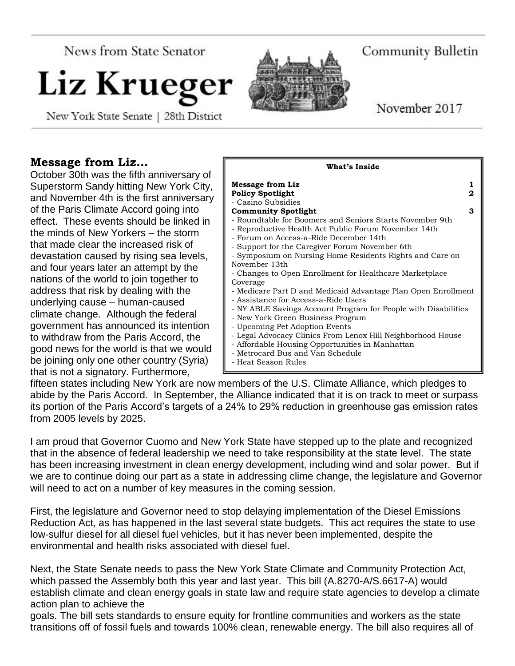News from State Senator

# Liz Krueg

New York State Senate | 28th District

# **Message from Liz…**

October 30th was the fifth anniversary of Superstorm Sandy hitting New York City, and November 4th is the first anniversary of the Paris Climate Accord going into effect. These events should be linked in the minds of New Yorkers – the storm that made clear the increased risk of devastation caused by rising sea levels, and four years later an attempt by the nations of the world to join together to address that risk by dealing with the underlying cause – human-caused climate change. Although the federal government has announced its intention to withdraw from the Paris Accord, the good news for the world is that we would be joining only one other country (Syria) that is not a signatory. Furthermore,



fifteen states including New York are now members of the U.S. Climate Alliance, which pledges to abide by the Paris Accord. In September, the Alliance indicated that it is on track to meet or surpass its portion of the Paris Accord's targets of a 24% to 29% reduction in greenhouse gas emission rates from 2005 levels by 2025.

I am proud that Governor Cuomo and New York State have stepped up to the plate and recognized that in the absence of federal leadership we need to take responsibility at the state level. The state has been increasing investment in clean energy development, including wind and solar power. But if we are to continue doing our part as a state in addressing clime change, the legislature and Governor will need to act on a number of key measures in the coming session.

First, the legislature and Governor need to stop delaying implementation of the Diesel Emissions Reduction Act, as has happened in the last several state budgets. This act requires the state to use low-sulfur diesel for all diesel fuel vehicles, but it has never been implemented, despite the environmental and health risks associated with diesel fuel.

Next, the State Senate needs to pass the New York State Climate and Community Protection Act, which passed the Assembly both this year and last year. This bill (A.8270-A/S.6617-A) would establish climate and clean energy goals in state law and require state agencies to develop a climate action plan to achieve the

goals. The bill sets standards to ensure equity for frontline communities and workers as the state transitions off of fossil fuels and towards 100% clean, renewable energy. The bill also requires all of



November 2017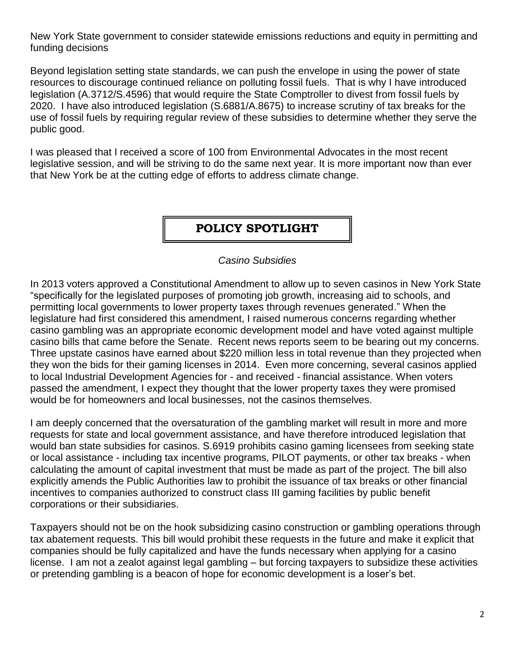New York State government to consider statewide emissions reductions and equity in permitting and funding decisions

Beyond legislation setting state standards, we can push the envelope in using the power of state resources to discourage continued reliance on polluting fossil fuels. That is why I have introduced legislation (A.3712/S.4596) that would require the State Comptroller to divest from fossil fuels by 2020. I have also introduced legislation (S.6881/A.8675) to increase scrutiny of tax breaks for the use of fossil fuels by requiring regular review of these subsidies to determine whether they serve the public good.

I was pleased that I received a score of 100 from Environmental Advocates in the most recent legislative session, and will be striving to do the same next year. It is more important now than ever that New York be at the cutting edge of efforts to address climate change.

## **POLICY SPOTLIGHT**

#### *Casino Subsidies*

In 2013 voters approved a Constitutional Amendment to allow up to seven casinos in New York State "specifically for the legislated purposes of promoting job growth, increasing aid to schools, and permitting local governments to lower property taxes through revenues generated." When the legislature had first considered this amendment, I raised numerous concerns regarding whether casino gambling was an appropriate economic development model and have voted against multiple casino bills that came before the Senate. Recent news reports seem to be bearing out my concerns. Three upstate casinos have earned about \$220 million less in total revenue than they projected when they won the bids for their gaming licenses in 2014. Even more concerning, several casinos applied to local Industrial Development Agencies for - and received - financial assistance. When voters passed the amendment, I expect they thought that the lower property taxes they were promised would be for homeowners and local businesses, not the casinos themselves.

I am deeply concerned that the oversaturation of the gambling market will result in more and more requests for state and local government assistance, and have therefore introduced legislation that would ban state subsidies for casinos. S.6919 prohibits casino gaming licensees from seeking state or local assistance - including tax incentive programs, PILOT payments, or other tax breaks - when calculating the amount of capital investment that must be made as part of the project. The bill also explicitly amends the Public Authorities law to prohibit the issuance of tax breaks or other financial incentives to companies authorized to construct class III gaming facilities by public benefit corporations or their subsidiaries.

Taxpayers should not be on the hook subsidizing casino construction or gambling operations through tax abatement requests. This bill would prohibit these requests in the future and make it explicit that companies should be fully capitalized and have the funds necessary when applying for a casino license. I am not a zealot against legal gambling – but forcing taxpayers to subsidize these activities or pretending gambling is a beacon of hope for economic development is a loser's bet.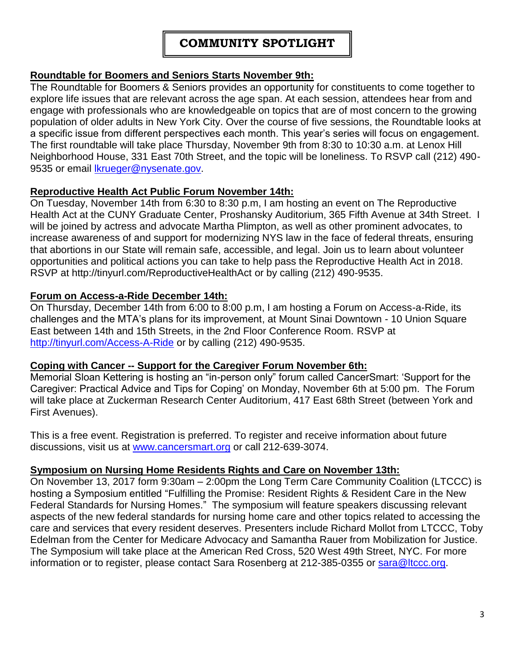## **Roundtable for Boomers and Seniors Starts November 9th:**

The Roundtable for Boomers & Seniors provides an opportunity for constituents to come together to explore life issues that are relevant across the age span. At each session, attendees hear from and engage with professionals who are knowledgeable on topics that are of most concern to the growing population of older adults in New York City. Over the course of five sessions, the Roundtable looks at a specific issue from different perspectives each month. This year's series will focus on engagement. The first roundtable will take place Thursday, November 9th from 8:30 to 10:30 a.m. at Lenox Hill Neighborhood House, 331 East 70th Street, and the topic will be loneliness. To RSVP call (212) 490- 9535 or email *Ikrueger@nysenate.gov.* 

#### **Reproductive Health Act Public Forum November 14th:**

On Tuesday, November 14th from 6:30 to 8:30 p.m, I am hosting an event on The Reproductive Health Act at the CUNY Graduate Center, Proshansky Auditorium, 365 Fifth Avenue at 34th Street. I will be joined by actress and advocate Martha Plimpton, as well as other prominent advocates, to increase awareness of and support for modernizing NYS law in the face of federal threats, ensuring that abortions in our State will remain safe, accessible, and legal. Join us to learn about volunteer opportunities and political actions you can take to help pass the Reproductive Health Act in 2018. RSVP at http://tinyurl.com/ReproductiveHealthAct or by calling (212) 490-9535.

#### **Forum on Access-a-Ride December 14th:**

On Thursday, December 14th from 6:00 to 8:00 p.m, I am hosting a Forum on Access-a-Ride, its challenges and the MTA's plans for its improvement, at Mount Sinai Downtown - 10 Union Square East between 14th and 15th Streets, in the 2nd Floor Conference Room. RSVP at <http://tinyurl.com/Access-A-Ride> or by calling (212) 490-9535.

#### **Coping with Cancer -- Support for the Caregiver Forum November 6th:**

Memorial Sloan Kettering is hosting an "in-person only" forum called CancerSmart: 'Support for the Caregiver: Practical Advice and Tips for Coping' on Monday, November 6th at 5:00 pm. The Forum will take place at Zuckerman Research Center Auditorium, 417 East 68th Street (between York and First Avenues).

This is a free event. Registration is preferred. To register and receive information about future discussions, visit us at [www.cancersmart.org](http://www.cancersmart.org/) or call 212-639-3074.

#### **Symposium on Nursing Home Residents Rights and Care on November 13th:**

On November 13, 2017 form 9:30am – 2:00pm the Long Term Care Community Coalition (LTCCC) is hosting a Symposium entitled "Fulfilling the Promise: Resident Rights & Resident Care in the New Federal Standards for Nursing Homes." The symposium will feature speakers discussing relevant aspects of the new federal standards for nursing home care and other topics related to accessing the care and services that every resident deserves. Presenters include Richard Mollot from LTCCC, Toby Edelman from the Center for Medicare Advocacy and Samantha Rauer from Mobilization for Justice. The Symposium will take place at the American Red Cross, 520 West 49th Street, NYC. For more information or to register, please contact Sara Rosenberg at 212-385-0355 or [sara@ltccc.org.](mailto:sara@ltccc.org)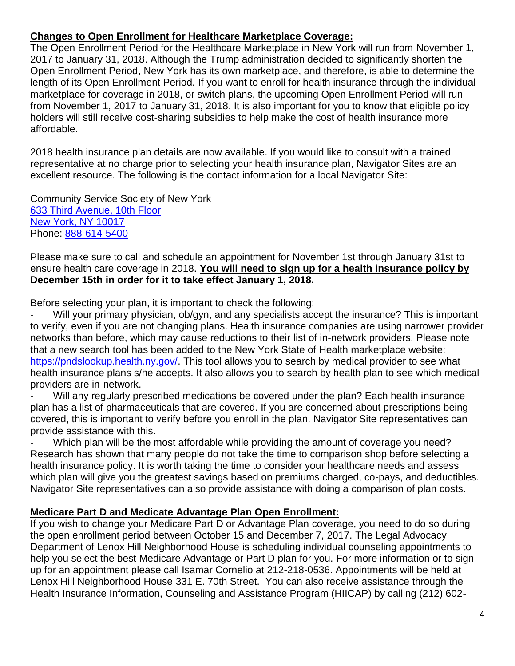## **Changes to Open Enrollment for Healthcare Marketplace Coverage:**

The Open Enrollment Period for the Healthcare Marketplace in New York will run from November 1, 2017 to January 31, 2018. Although the Trump administration decided to significantly shorten the Open Enrollment Period, New York has its own marketplace, and therefore, is able to determine the length of its Open Enrollment Period. If you want to enroll for health insurance through the individual marketplace for coverage in 2018, or switch plans, the upcoming Open Enrollment Period will run from November 1, 2017 to January 31, 2018. It is also important for you to know that eligible policy holders will still receive cost-sharing subsidies to help make the cost of health insurance more affordable.

2018 health insurance plan details are now available. If you would like to consult with a trained representative at no charge prior to selecting your health insurance plan, Navigator Sites are an excellent resource. The following is the contact information for a local Navigator Site:

Community Service Society of New York [633 Third Avenue, 10th Floor](https://maps.google.com/?q=New+York%0D%0D+633+Third+Avenue,+10th+Floor%0D%0D+New+York,+NY+10017&entry=gmail&source=g) [New York, NY 10017](https://maps.google.com/?q=New+York%0D%0D+633+Third+Avenue,+10th+Floor%0D%0D+New+York,+NY+10017&entry=gmail&source=g)  Phone: [888-614-5400](tel:(888)%20614-5400)

Please make sure to call and schedule an appointment for November 1st through January 31st to ensure health care coverage in 2018. **You will need to sign up for a health insurance policy by December 15th in order for it to take effect January 1, 2018.**

Before selecting your plan, it is important to check the following:

Will your primary physician, ob/gyn, and any specialists accept the insurance? This is important to verify, even if you are not changing plans. Health insurance companies are using narrower provider networks than before, which may cause reductions to their list of in-network providers. Please note that a new search tool has been added to the New York State of Health marketplace website: [https://pndslookup.health.ny.gov/.](https://pndslookup.health.ny.gov/) This tool allows you to search by medical provider to see what health insurance plans s/he accepts. It also allows you to search by health plan to see which medical providers are in-network.

Will any regularly prescribed medications be covered under the plan? Each health insurance plan has a list of pharmaceuticals that are covered. If you are concerned about prescriptions being covered, this is important to verify before you enroll in the plan. Navigator Site representatives can provide assistance with this.

Which plan will be the most affordable while providing the amount of coverage you need? Research has shown that many people do not take the time to comparison shop before selecting a health insurance policy. It is worth taking the time to consider your healthcare needs and assess which plan will give you the greatest savings based on premiums charged, co-pays, and deductibles. Navigator Site representatives can also provide assistance with doing a comparison of plan costs.

## **Medicare Part D and Medicate Advantage Plan Open Enrollment:**

If you wish to change your Medicare Part D or Advantage Plan coverage, you need to do so during the open enrollment period between October 15 and December 7, 2017. The Legal Advocacy Department of Lenox Hill Neighborhood House is scheduling individual counseling appointments to help you select the best Medicare Advantage or Part D plan for you. For more information or to sign up for an appointment please call Isamar Cornelio at 212-218-0536. Appointments will be held at Lenox Hill Neighborhood House 331 E. 70th Street. You can also receive assistance through the Health Insurance Information, Counseling and Assistance Program (HIICAP) by calling (212) 602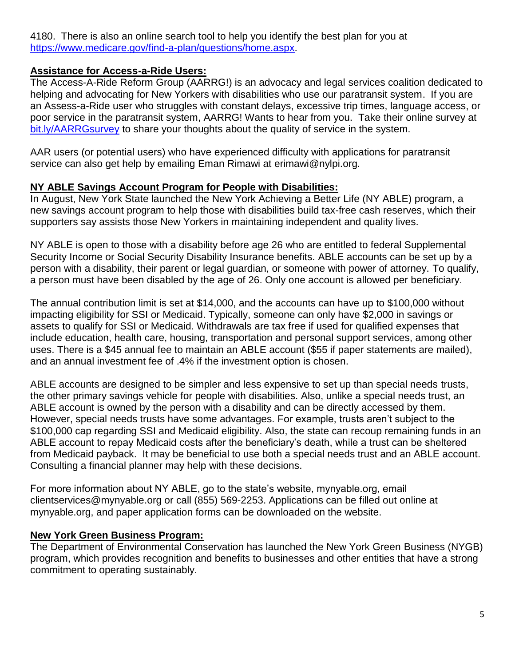4180. There is also an online search tool to help you identify the best plan for you at [https://www.medicare.gov/find-a-plan/questions/home.aspx.](https://www.medicare.gov/find-a-plan/questions/home.aspx)

#### **Assistance for Access-a-Ride Users:**

The Access-A-Ride Reform Group (AARRG!) is an advocacy and legal services coalition dedicated to helping and advocating for New Yorkers with disabilities who use our paratransit system. If you are an Assess-a-Ride user who struggles with constant delays, excessive trip times, language access, or poor service in the paratransit system, AARRG! Wants to hear from you. Take their online survey at [bit.ly/AARRGsurvey](http://bit.ly/AARRGsurvey) to share your thoughts about the quality of service in the system.

AAR users (or potential users) who have experienced difficulty with applications for paratransit service can also get help by emailing Eman Rimawi at erimawi@nylpi.org.

#### **NY ABLE Savings Account Program for People with Disabilities:**

In August, New York State launched the New York Achieving a Better Life (NY ABLE) program, a new savings account program to help those with disabilities build tax-free cash reserves, which their supporters say assists those New Yorkers in maintaining independent and quality lives.

NY ABLE is open to those with a disability before age 26 who are entitled to federal Supplemental Security Income or Social Security Disability Insurance benefits. ABLE accounts can be set up by a person with a disability, their parent or legal guardian, or someone with power of attorney. To qualify, a person must have been disabled by the age of 26. Only one account is allowed per beneficiary.

The annual contribution limit is set at \$14,000, and the accounts can have up to \$100,000 without impacting eligibility for SSI or Medicaid. Typically, someone can only have \$2,000 in savings or assets to qualify for SSI or Medicaid. Withdrawals are tax free if used for qualified expenses that include education, health care, housing, transportation and personal support services, among other uses. There is a \$45 annual fee to maintain an ABLE account (\$55 if paper statements are mailed), and an annual investment fee of .4% if the investment option is chosen.

ABLE accounts are designed to be simpler and less expensive to set up than special needs trusts, the other primary savings vehicle for people with disabilities. Also, unlike a special needs trust, an ABLE account is owned by the person with a disability and can be directly accessed by them. However, special needs trusts have some advantages. For example, trusts aren't subject to the \$100,000 cap regarding SSI and Medicaid eligibility. Also, the state can recoup remaining funds in an ABLE account to repay Medicaid costs after the beneficiary's death, while a trust can be sheltered from Medicaid payback. It may be beneficial to use both a special needs trust and an ABLE account. Consulting a financial planner may help with these decisions.

For more information about NY ABLE, go to the state's website, mynyable.org, email clientservices@mynyable.org or call (855) 569-2253. Applications can be filled out online at mynyable.org, and paper application forms can be downloaded on the website.

#### **New York Green Business Program:**

The Department of Environmental Conservation has launched the New York Green Business (NYGB) program, which provides recognition and benefits to businesses and other entities that have a strong commitment to operating sustainably.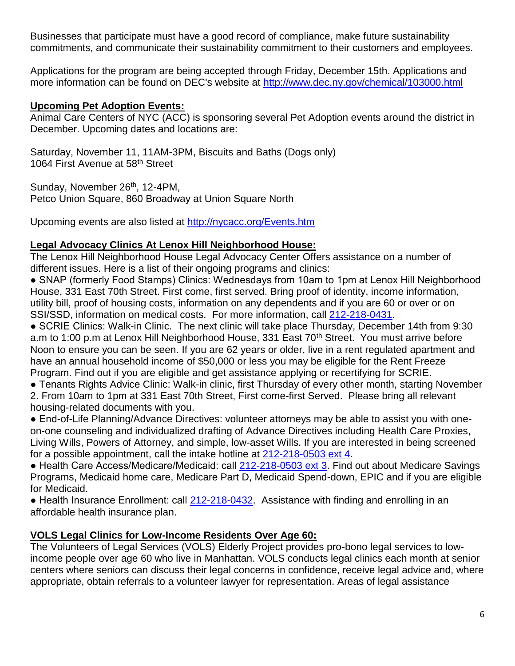Businesses that participate must have a good record of compliance, make future sustainability commitments, and communicate their sustainability commitment to their customers and employees.

Applications for the program are being accepted through Friday, December 15th. Applications and more information can be found on DEC's website at<http://www.dec.ny.gov/chemical/103000.html>

## **Upcoming Pet Adoption Events:**

Animal Care Centers of NYC (ACC) is sponsoring several Pet Adoption events around the district in December. Upcoming dates and locations are:

Saturday, November 11, 11AM-3PM, Biscuits and Baths (Dogs only) 1064 First Avenue at 58<sup>th</sup> Street

Sunday, November 26<sup>th</sup>, 12-4PM, Petco Union Square, 860 Broadway at Union Square North

Upcoming events are also listed at<http://nycacc.org/Events.htm>

# **Legal Advocacy Clinics At Lenox Hill Neighborhood House:**

The Lenox Hill Neighborhood House Legal Advocacy Center Offers assistance on a number of different issues. Here is a list of their ongoing programs and clinics:

● SNAP (formerly Food Stamps) Clinics: Wednesdays from 10am to 1pm at Lenox Hill Neighborhood House, 331 East 70th Street. First come, first served. Bring proof of identity, income information, utility bill, proof of housing costs, information on any dependents and if you are 60 or over or on SSI/SSD, information on medical costs. For more information, call [212-218-0431.](tel:212-218-0431)

● SCRIE Clinics: Walk-in Clinic. The next clinic will take place Thursday, December 14th from 9:30 a.m to 1:00 p.m at Lenox Hill Neighborhood House, 331 East 70<sup>th</sup> Street. You must arrive before Noon to ensure you can be seen. If you are 62 years or older, live in a rent regulated apartment and have an annual household income of \$50,000 or less you may be eligible for the Rent Freeze Program. Find out if you are eligible and get assistance applying or recertifying for SCRIE.

● Tenants Rights Advice Clinic: Walk-in clinic, first Thursday of every other month, starting November

2. From 10am to 1pm at 331 East 70th Street, First come-first Served. Please bring all relevant housing-related documents with you.

● End-of-Life Planning/Advance Directives: volunteer attorneys may be able to assist you with oneon-one counseling and individualized drafting of Advance Directives including Health Care Proxies, Living Wills, Powers of Attorney, and simple, low-asset Wills. If you are interested in being screened for a possible appointment, call the intake hotline at [212-218-0503 ext 4.](tel:212-218-0503%20ext%204)

● Health Care Access/Medicare/Medicaid: call [212-218-0503 ext 3.](tel:212-218-0503%20ext%203) Find out about Medicare Savings Programs, Medicaid home care, Medicare Part D, Medicaid Spend-down, EPIC and if you are eligible for Medicaid.

• Health Insurance Enrollment: call [212-218-0432.](tel:212-218-0432) Assistance with finding and enrolling in an affordable health insurance plan.

# **VOLS Legal Clinics for Low-Income Residents Over Age 60:**

The Volunteers of Legal Services (VOLS) Elderly Project provides pro-bono legal services to lowincome people over age 60 who live in Manhattan. VOLS conducts legal clinics each month at senior centers where seniors can discuss their legal concerns in confidence, receive legal advice and, where appropriate, obtain referrals to a volunteer lawyer for representation. Areas of legal assistance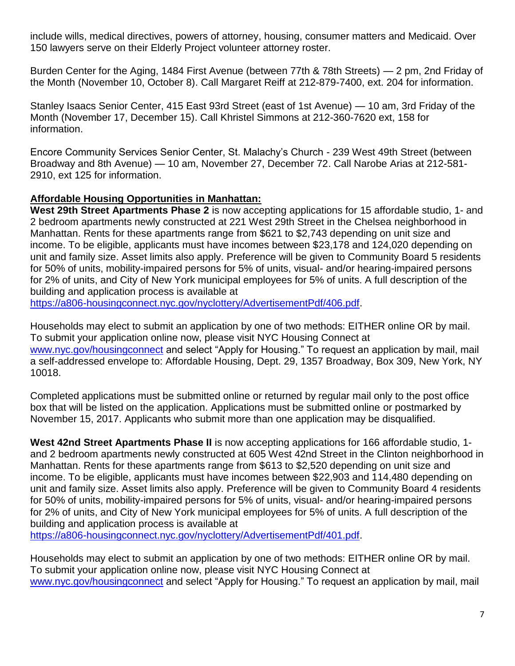include wills, medical directives, powers of attorney, housing, consumer matters and Medicaid. Over 150 lawyers serve on their Elderly Project volunteer attorney roster.

Burden Center for the Aging, 1484 First Avenue (between 77th & 78th Streets) — 2 pm, 2nd Friday of the Month (November 10, October 8). Call Margaret Reiff at 212-879-7400, ext. 204 for information.

Stanley Isaacs Senior Center, 415 East 93rd Street (east of 1st Avenue) — 10 am, 3rd Friday of the Month (November 17, December 15). Call Khristel Simmons at 212-360-7620 ext, 158 for information.

Encore Community Services Senior Center, St. Malachy's Church - 239 West 49th Street (between Broadway and 8th Avenue) — 10 am, November 27, December 72. Call Narobe Arias at 212-581- 2910, ext 125 for information.

## **Affordable Housing Opportunities in Manhattan:**

**West 29th Street Apartments Phase 2** is now accepting applications for 15 affordable studio, 1- and 2 bedroom apartments newly constructed at 221 West 29th Street in the Chelsea neighborhood in Manhattan. Rents for these apartments range from \$621 to \$2,743 depending on unit size and income. To be eligible, applicants must have incomes between \$23,178 and 124,020 depending on unit and family size. Asset limits also apply. Preference will be given to Community Board 5 residents for 50% of units, mobility-impaired persons for 5% of units, visual- and/or hearing-impaired persons for 2% of units, and City of New York municipal employees for 5% of units. A full description of the building and application process is available at

[https://a806-housingconnect.nyc.gov/nyclottery/AdvertisementPdf/406.pdf.](https://a806-housingconnect.nyc.gov/nyclottery/AdvertisementPdf/406.pdf)

Households may elect to submit an application by one of two methods: EITHER online OR by mail. To submit your application online now, please visit NYC Housing Connect at [www.nyc.gov/housingconnect](http://www.nyc.gov/housingconnect) and select "Apply for Housing." To request an application by mail, mail a self-addressed envelope to: Affordable Housing, Dept. 29, 1357 Broadway, Box 309, New York, NY 10018.

Completed applications must be submitted online or returned by regular mail only to the post office box that will be listed on the application. Applications must be submitted online or postmarked by November 15, 2017. Applicants who submit more than one application may be disqualified.

**West 42nd Street Apartments Phase II** is now accepting applications for 166 affordable studio, 1 and 2 bedroom apartments newly constructed at 605 West 42nd Street in the Clinton neighborhood in Manhattan. Rents for these apartments range from \$613 to \$2,520 depending on unit size and income. To be eligible, applicants must have incomes between \$22,903 and 114,480 depending on unit and family size. Asset limits also apply. Preference will be given to Community Board 4 residents for 50% of units, mobility-impaired persons for 5% of units, visual- and/or hearing-impaired persons for 2% of units, and City of New York municipal employees for 5% of units. A full description of the building and application process is available at

[https://a806-housingconnect.nyc.gov/nyclottery/AdvertisementPdf/401.pdf.](https://a806-housingconnect.nyc.gov/nyclottery/AdvertisementPdf/401.pdf)

Households may elect to submit an application by one of two methods: EITHER online OR by mail. To submit your application online now, please visit NYC Housing Connect at [www.nyc.gov/housingconnect](http://www.nyc.gov/housingconnect) and select "Apply for Housing." To request an application by mail, mail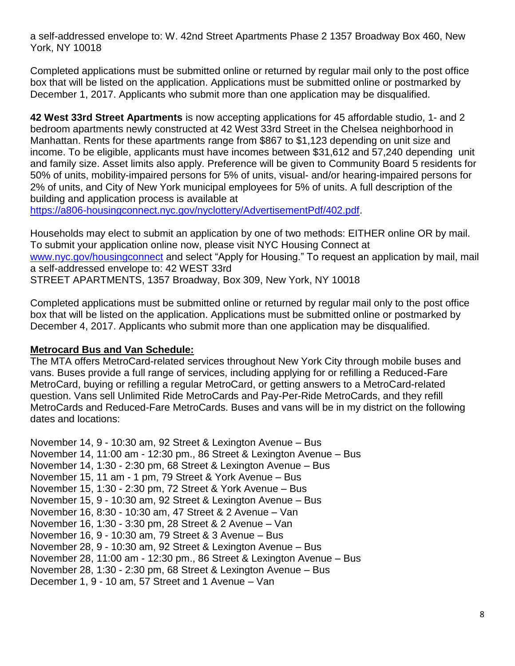a self-addressed envelope to: W. 42nd Street Apartments Phase 2 1357 Broadway Box 460, New York, NY 10018

Completed applications must be submitted online or returned by regular mail only to the post office box that will be listed on the application. Applications must be submitted online or postmarked by December 1, 2017. Applicants who submit more than one application may be disqualified.

**42 West 33rd Street Apartments** is now accepting applications for 45 affordable studio, 1- and 2 bedroom apartments newly constructed at 42 West 33rd Street in the Chelsea neighborhood in Manhattan. Rents for these apartments range from \$867 to \$1,123 depending on unit size and income. To be eligible, applicants must have incomes between \$31,612 and 57,240 depending unit and family size. Asset limits also apply. Preference will be given to Community Board 5 residents for 50% of units, mobility-impaired persons for 5% of units, visual- and/or hearing-impaired persons for 2% of units, and City of New York municipal employees for 5% of units. A full description of the building and application process is available at

[https://a806-housingconnect.nyc.gov/nyclottery/AdvertisementPdf/402.pdf.](https://a806-housingconnect.nyc.gov/nyclottery/AdvertisementPdf/402.pdf)

Households may elect to submit an application by one of two methods: EITHER online OR by mail. To submit your application online now, please visit NYC Housing Connect at [www.nyc.gov/housingconnect](http://www.nyc.gov/housingconnect) and select "Apply for Housing." To request an application by mail, mail a self-addressed envelope to: 42 WEST 33rd STREET APARTMENTS, 1357 Broadway, Box 309, New York, NY 10018

Completed applications must be submitted online or returned by regular mail only to the post office box that will be listed on the application. Applications must be submitted online or postmarked by December 4, 2017. Applicants who submit more than one application may be disqualified.

## **Metrocard Bus and Van Schedule:**

The MTA offers MetroCard-related services throughout New York City through mobile buses and vans. Buses provide a full range of services, including applying for or refilling a Reduced-Fare MetroCard, buying or refilling a regular MetroCard, or getting answers to a MetroCard-related question. Vans sell Unlimited Ride MetroCards and Pay-Per-Ride MetroCards, and they refill MetroCards and Reduced-Fare MetroCards. Buses and vans will be in my district on the following dates and locations:

November 14, 9 - 10:30 am, 92 Street & Lexington Avenue – Bus November 14, 11:00 am - 12:30 pm., 86 Street & Lexington Avenue – Bus November 14, 1:30 - 2:30 pm, 68 Street & Lexington Avenue – Bus November 15, 11 am - 1 pm, 79 Street & York Avenue – Bus November 15, 1:30 - 2:30 pm, 72 Street & York Avenue – Bus November 15, 9 - 10:30 am, 92 Street & Lexington Avenue – Bus November 16, 8:30 - 10:30 am, 47 Street & 2 Avenue – Van November 16, 1:30 - 3:30 pm, 28 Street & 2 Avenue – Van November 16, 9 - 10:30 am, 79 Street & 3 Avenue – Bus November 28, 9 - 10:30 am, 92 Street & Lexington Avenue – Bus November 28, 11:00 am - 12:30 pm., 86 Street & Lexington Avenue – Bus November 28, 1:30 - 2:30 pm, 68 Street & Lexington Avenue – Bus December 1, 9 - 10 am, 57 Street and 1 Avenue – Van